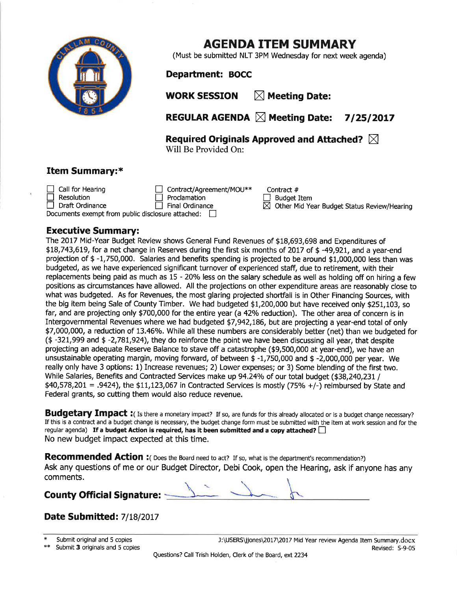

## AGENDA ITEM SUMMARY

(Must be submitted NLT 3PM Wednesday for next week agenda)

Department: BOCC

WORK SESSION  $\mathbb N$  Meeting Date:

REGULAR AGENDA  $\boxtimes$  Meeting Date: 7/25/2017

Contract #  $\Box$  Budget Item

 $\boxtimes$  Other Mid Year Budget Status Review/Hearing

Required Originals Approved and Attached?  $\boxtimes$ Will Be Provided On:

#### Item Summary:\*

 $\Box$  Call for Hearing Contract/Agreement/MOU\*\* Draft Ordinance □ Resolution Proclamation  $\overline{\Box}$  Final Ordinance

Documents exempt from public disclosure attached:  $\Box$ 

#### Executive Summary:

The 2017 Mid-Year Budget Review shows General Fund Revenues of \$18,693,698 and Expenditures of \$L8,743,6L9, for a net change in Reserves during the fírst six months of 20L7 of \$ -49,92L, and a year-end projection of \$ -1,750,000. Salaries and benefits spending is projected to be around \$1,000,000 less than was budgeted, as we have experienced significant turnover of experienced staff, due to retirement, with their replacements being paid as much as  $15 - 20%$  less on the salary schedule as well as holding off on hiring a few positions as circumstances have allowed. All the projections on other expenditure areas are reasonably close to what was budgeted. As for Revenues, the most glaring projected shortfall is in Other Financing Sources, with the big item being Sale of County Timber, We had budgeted \$1,200,000 but have received only \$251,103, so far, and are projecting only \$700,000 for the entire year (a 42% reduction). The other area of concern is in Intergovernmental Revenues where we had budgeted \$7,942,L86, but are projecting a year-end total of only \$7,000,000, a reduction of 13.46%. While all these numbers are considerably better (net) than we budgeted for (\$ -321,999 and \$ -2,78L,924), they do reinforce the poínt we have been discussing all year, that despite projecting an adequate Reserue Balance to stave off a catastrophe (\$9,500,000 at year-end), we have an unsustainable operating margin, moving forward, of between \$ -1,750,000 and \$ -2,000,000 per year. We really only have 3 options: 1) Increase revenues; 2) Lower expenses; or 3) Some blending of the first two, While Salaries, Benefits and Contracted Services make up 94.24% of our total budget (\$38,240,231 /  $$40,578,201 = .9424$ , the  $$11,123,067$  in Contracted Services is mostly (75% +/-) reimbursed by State and Federal grants, so cutting them would also reduce revenue.

Budgetary Impact : (Is there a monetary impact? If so, are funds for this already allocated or is a budget change necessary? If this is a contract and a budget change is necessary, the budget change form must be submitted with the item at work session and for the regular agenda) If a budget Action is required, has it been submitted and a copy attached?  $\Box$ No new budget impact expected at this time.

Recommended Action : ( Does the Board need to act? If so, what is the department's recommendation?) Ask any questions of me or our Budget Director, Debi Cook, open the Hearing, ask if anyone has any comments.  $\frac{1}{\sqrt{2\pi}}\frac{1}{\sqrt{2\pi}}$ 

### County Official Signature:

### Date Submitted: 7/18/2017

| ж | Submit original and 5 copies |  |
|---|------------------------------|--|
|   |                              |  |

\*\* Submit 3 originals and 5 copies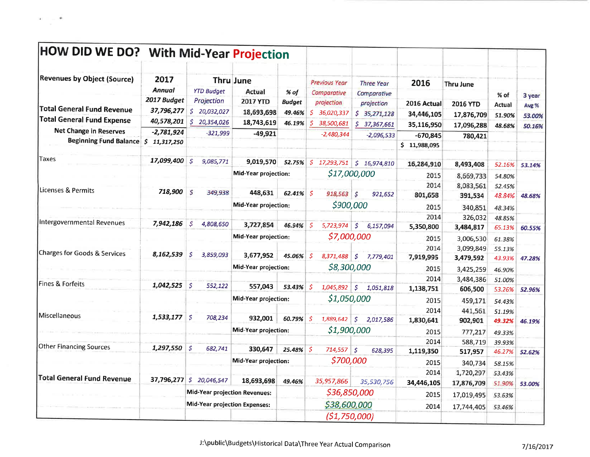| HOW DID WE DO? With Mid-Year Projection |                       |                                      |                             |               |                                          |                           |                            |                  |        |        |
|-----------------------------------------|-----------------------|--------------------------------------|-----------------------------|---------------|------------------------------------------|---------------------------|----------------------------|------------------|--------|--------|
| <b>Revenues by Object (Source)</b>      | 2017<br><b>Annual</b> | <b>YTD Budget</b>                    | <b>Thru June</b><br>Actual  | % of          | <b>Previous Year</b><br>Comparative      | <b>Three Year</b>         | 2016                       | <b>Thru June</b> |        |        |
|                                         | 2017 Budget           | Projection                           | <b>2017 YTD</b>             | <b>Budget</b> | projection                               | Comparative<br>projection | 2016 Actual                |                  | % of   | 3 year |
| <b>Total General Fund Revenue</b>       | 37,796,277            | \$20,032,027                         | 18,693,698                  | 49.46%        | -S<br>36,020,337                         | \$35,271,128              | 34,446,105                 | <b>2016 YTD</b>  | Actual | Avg %  |
| Total General Fund Expense              | 40,578,201            | \$<br>20,354,026                     | 18,743,619                  | 46.19%        | S.<br>38,500,681                         | \$37,367,661              | 35,116,950                 | 17,876,709       | 51.90% | 53.00% |
| <b>Net Change in Reserves</b>           | $-2,781,924$          | $-321,999$                           | $-49,921$                   |               | $-2,480,344$                             | $-2,096,533$              |                            | 17,096,288       | 48.68% | 50.16% |
| <b>Beginning Fund Balance</b>           | \$11,317,250          |                                      |                             |               |                                          |                           | $-670,845$<br>\$11,988,095 | 780,421          |        |        |
| Taxes                                   | 17,099,400            | '\$<br>9,085,771                     | 9,019,570 52.75%            |               |                                          |                           | 16,284,910                 | 8,493,408        | 52.16% | 53.14% |
|                                         |                       |                                      | Mid-Year projection:        |               |                                          | \$17,000,000              | 2015                       | 8,669,733        | 54.80% |        |
|                                         |                       |                                      |                             |               |                                          |                           | 2014                       | 8,083,561        | 52.45% |        |
| Licenses & Permits                      | 718,900               | S.<br>349,938                        | 448,631                     | $62.41\%$ \$  | $918,563$ \$                             | 921,652                   | 801,658                    | 391,534          | 48.84% | 48.68% |
|                                         |                       |                                      | <b>Mid-Year projection:</b> |               |                                          | \$900,000                 | 2015                       | 340,851          | 48.34% |        |
|                                         |                       |                                      |                             |               |                                          |                           | 2014                       | 326,032          | 48.85% |        |
| Intergovernmental Revenues              | 7,942,186             | Ś<br>4,808,650                       | 3,727,854                   | 46.94%        | $\left  \mathsf{S} \right $<br>5,723,974 | $\sqrt{5}$<br>6,157,094   | 5,350,800                  | 3,484,817        | 65.13% | 60.55% |
|                                         |                       |                                      | Mid-Year projection:        |               |                                          | \$7,000,000               | 2015                       | 3,006,530        | 61.38% |        |
| Charges for Goods & Services            |                       |                                      |                             |               |                                          |                           | 2014                       | 3,099,849        | 55.13% |        |
|                                         | 8,162,539             | 3,859,093<br>\$                      | 3,677,952                   | 45.06%        | $\mathcal{S}$<br>8,371,488               | \$<br>7,779,401           | 7,919,995                  | 3,479,592        | 43.93% | 47.28% |
|                                         |                       |                                      | Mid-Year projection:        |               | \$8,300,000                              |                           | 2015                       | 3,425,259        | 46.90% |        |
| Fines & Forfeits                        |                       |                                      |                             |               |                                          |                           | 2014                       | 3,484,386        | 51.00% |        |
|                                         | 1,042,525             | -S<br>552,122                        | 557,043                     | 53.43%        | \$<br>1,045,892                          | $\vert$ \$<br>1,051,818   | 1,138,751                  | 606,500          | 53.26% | 52.96% |
|                                         |                       |                                      | Mid-Year projection:        |               | \$1,050,000                              |                           | 2015                       | 459,171          | 54.43% |        |
| <b>Miscellaneous</b>                    |                       |                                      |                             |               |                                          |                           | 2014                       | 441,561          | 51.19% |        |
|                                         | 1,533,177             | -S<br>708,234                        | 932,001                     | 60.79%        | 5<br>1,889,642                           | $\sqrt{5}$<br>2,017,586   | 1,830,641                  | 902,901          | 49.32% | 46.19% |
|                                         |                       |                                      | Mid-Year projection:        |               | \$1,900,000                              |                           | 2015                       | 777,217          | 49.33% |        |
| <b>Other Financing Sources</b>          |                       |                                      |                             |               |                                          |                           | 2014                       | 588,719          | 39.93% |        |
|                                         | 1,297,550             | $\mathcal{S}$<br>682,741             | 330,647                     | $25.48\%$ \$  | 714,557                                  | $\mathcal{S}$<br>628,395  | 1,119,350                  | 517,957          | 46.27% | 52.62% |
|                                         |                       |                                      | Mid-Year projection:        |               | \$700,000                                |                           | 2015                       | 340,734          | 58.15% |        |
| <b>Total General Fund Revenue</b>       |                       |                                      |                             |               |                                          |                           | 2014                       | 1,720,297        | 53.43% |        |
|                                         | 37,796,277            | \$20,046,547                         | 18,693,698                  | 49.46%        | 35,957,866                               | 35,530,756                | 34,446,105                 | 17,876,709       | 51.90% | 53.00% |
|                                         |                       | Mid-Year projection Revenues:        |                             |               | \$36,850,000                             |                           | 2015                       | 17,019,495       | 53.63% |        |
|                                         |                       | <b>Mid-Year projection Expenses:</b> |                             |               | \$38,600,000                             |                           | 2014                       | 17,744,405       | 53.46% |        |
|                                         |                       |                                      |                             |               |                                          | (51, 750, 000)            |                            |                  |        |        |

 $\langle \Psi \rangle$ 

÷.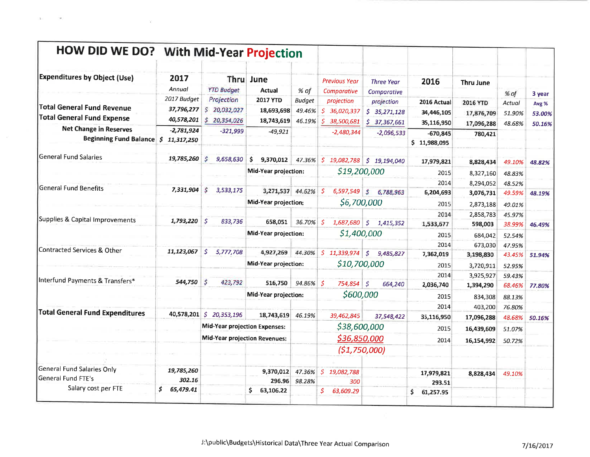| HOW DID WE DO? With Mid-Year Projection                                       |                                         |                                            |                                             |                                   |                                                    |                                            |                                         |                                      |                            |                           |
|-------------------------------------------------------------------------------|-----------------------------------------|--------------------------------------------|---------------------------------------------|-----------------------------------|----------------------------------------------------|--------------------------------------------|-----------------------------------------|--------------------------------------|----------------------------|---------------------------|
| <b>Expenditures by Object (Use)</b>                                           | 2017<br>Annual                          | <b>YTD Budget</b>                          | Thru June<br><b>Actual</b>                  | % of                              | <b>Previous Year</b><br>Comparative                | <b>Three Year</b><br>Comparative           | 2016                                    | <b>Thru June</b>                     | % of                       | 3 year                    |
| Total General Fund Revenue<br><b>Total General Fund Expense</b>               | 2017 Budget<br>37,796,277<br>40,578,201 | Projection<br>\$20,032,027<br>\$20,354,026 | <b>2017 YTD</b><br>18,693,698<br>18,743,619 | <b>Budget</b><br>49.46%<br>46.19% | projection<br>S.<br>36,020,337<br>S.<br>38,500,681 | projection<br>\$35,271,128<br>\$37,367,661 | 2016 Actual<br>34,446,105<br>35,116,950 | 2016 YTD<br>17,876,709<br>17,096,288 | Actual<br>51.90%<br>48.68% | Avg %<br>53.00%<br>50.16% |
| <b>Net Change in Reserves</b><br>Beginning Fund Balance $\vert$ \$ 11,317,250 | $-2,781,924$                            | $-321,999$                                 | $-49,921$                                   |                                   | $-2,480,344$                                       | $-2,096,533$                               | $-670,845$<br>\$11,988,095              | 780,421                              |                            |                           |
| General Fund Salaries                                                         | 19,785,260                              | S<br>9,658,630                             | \$<br>9,370,012                             | 47.36%                            | S.<br>19,082,788                                   | \$19,194,040                               | 17,979,821                              | 8,828,434                            | 49.10%                     | 48.82%                    |
|                                                                               |                                         |                                            | Mid-Year projection:                        |                                   |                                                    | \$19,200,000                               | 2015                                    | 8,327,160                            | 48.83%                     |                           |
|                                                                               |                                         |                                            |                                             |                                   |                                                    |                                            | 2014                                    | 8,294,052                            | 48.52%                     |                           |
| <b>General Fund Benefits</b>                                                  | 7,331,904                               | S<br>3,533,175                             | 3,271,537                                   | 44.62% \$                         | 6,597,549                                          | $\sqrt{S}$<br>6,788,963                    | 6,204,693                               | 3,076,731                            | 49.59%                     | 48.19%                    |
|                                                                               |                                         |                                            | Mid-Year projection:                        |                                   |                                                    | \$6,700,000                                | 2015                                    | 2,873,188                            | 49.01%                     |                           |
|                                                                               |                                         |                                            |                                             |                                   |                                                    |                                            | 2014                                    | 2,858,783                            | 45.97%                     |                           |
| Supplies & Capital Improvements                                               | 1,793,220                               | S.<br>833,736                              | 658,051                                     | 36.70%                            | ى ا<br>1,687,680                                   | $\vert$ \$<br>1,415,352                    | 1,533,677                               | 598,003                              | 38.99%                     | 46.49%                    |
|                                                                               |                                         |                                            | Mid-Year projection:                        |                                   |                                                    | \$1,400,000                                | 2015                                    | 684,042                              | 52.54%                     |                           |
| Contracted Services & Other                                                   |                                         |                                            |                                             |                                   |                                                    |                                            | 2014                                    | 673,030                              | 47.95%                     |                           |
|                                                                               | 11,123,067                              | \$.<br>5,777,708                           | 4,927,269                                   |                                   | 44.30% \$ 11,339,974 \$                            | 9,485,827                                  | 7,362,019                               | 3,198,830                            | 43.45%                     | 51.94%                    |
|                                                                               |                                         |                                            | <b>Mid-Year projection:</b>                 |                                   |                                                    | \$10,700,000                               | 2015                                    | 3,720,911                            | 52.95%                     |                           |
| Interfund Payments & Transfers*                                               |                                         |                                            |                                             |                                   |                                                    |                                            | 2014                                    | 3,925,927                            | 59.43%                     |                           |
|                                                                               | 544,750                                 | S<br>423,792                               | 516,750                                     | 94.86% \$                         | 754,854                                            | $\mathcal{S}$<br>664,240                   | 2,036,740                               | 1,394,290                            | 68.46%                     | 77.80%                    |
|                                                                               |                                         |                                            | Mid-Year projection:                        |                                   | \$600,000                                          |                                            | 2015                                    | 834,308                              | 88.13%                     |                           |
|                                                                               |                                         |                                            |                                             |                                   |                                                    |                                            | 2014                                    | 403,200                              | 76.80%                     |                           |
| <b>Total General Fund Expenditures</b>                                        | 40,578,201                              | 20,353,196<br>\$.                          | 18,743,619                                  | 46.19%                            | 39,462,845                                         | 37,548,422                                 | 35,116,950                              | 17,096,288                           | 48.68%                     | 50.16%                    |
|                                                                               |                                         | <b>Mid-Year projection Expenses:</b>       |                                             |                                   | \$38,600,000                                       |                                            | 2015                                    | 16,439,609                           | 51.07%                     |                           |
|                                                                               |                                         | Mid-Year projection Revenues:              |                                             |                                   | \$36,850,000                                       |                                            | 2014                                    | 16,154,992                           | 50.72%                     |                           |
|                                                                               |                                         |                                            |                                             |                                   | (51, 750, 000)                                     |                                            |                                         |                                      |                            |                           |
|                                                                               |                                         |                                            |                                             |                                   |                                                    |                                            |                                         |                                      |                            |                           |
| General Fund Salaries Only                                                    | 19,785,260                              |                                            | 9,370,012                                   | 47.36%                            | $\mathcal{S}$<br>19,082,788                        |                                            | 17,979,821                              | 8,828,434                            | 49.10%                     |                           |
| General Fund FTE's                                                            | 302.16                                  |                                            | 296.96                                      | 98.28%                            | 300                                                |                                            | 293.51                                  |                                      |                            |                           |
| Salary cost per FTE                                                           | \$.<br>65,479.41                        |                                            | \$63,106.22                                 |                                   | $\mathcal{S}$<br>63,609.29                         |                                            | \$.<br>61,257.95                        |                                      |                            |                           |

(K)

D.

Ÿ.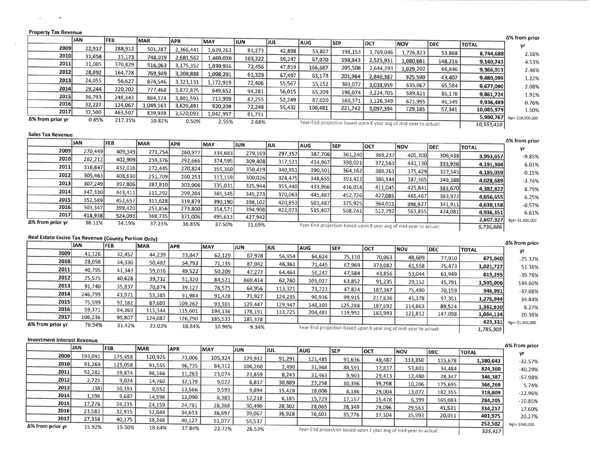| Property Tax Revenue                                 |            |            |                                                          |                    |                   |                  |                  |            |            |            |                                                                  |            |              | Δ% from prior     |
|------------------------------------------------------|------------|------------|----------------------------------------------------------|--------------------|-------------------|------------------|------------------|------------|------------|------------|------------------------------------------------------------------|------------|--------------|-------------------|
|                                                      | <b>JAN</b> | <b>FEB</b> | MAR                                                      | <b>APR</b>         | MAY               | JUN              | JUL              | <b>AUG</b> | <b>SEP</b> | OCT        | <b>NOV</b>                                                       | <b>DEC</b> | <b>TOTAL</b> | yr                |
| 2009                                                 | 22,917     | 288,912    | 501,287                                                  | 2,366,441          | 1,639,263         | 81,273           | 42,898           | 53,807     | 198,153    | 1,769,046  | 1,726,823                                                        | 53,868     | 8,744,688    | 2.16%             |
| 2010                                                 | 31,658     | 27,173     | 748,019                                                  | 2,681,562          | 1,469,020         | 103,322          | 59,247           | 67,070     | 198,843    | 2,525,931  | 1,080,681                                                        | 148,216    | 9,140,743    | 4.53%             |
| 2011                                                 | 31,005     | 370,829    | 516,063                                                  | 3,175,352          | 1,039,916         | 72,456           | 47,859           | 166,687    | 205,508    | 2,644,293  | 1,029,202                                                        | 66,846     | 9,366,013    | 2.46%             |
| 2012                                                 | 28,892     | 164,728    | 769,949                                                  | 3,208,888          | 1,098,291         | 61,329           | 67,497           | 63,178     | 201,964    | 2,846,387  | 925,590                                                          | 43,407     | 9,480,099    | 1.22%             |
| 2013                                                 | 24,055     | 56,627     | 874,546                                                  | 3,323,131          | 1,172,919         | 72,406           | 55,567           | 55,152     | 303,077    | 3,038,959  | 635,067                                                          | 65,584     | 9,677,090    | 2.08%             |
| 2014                                                 | 29,244     | 220,202    | 777,468                                                  | 3,872,875          | 649,652           | 94,281           | 56,015           | 65,209     | 196,074    | 3,224,705  | 589,821                                                          | 86,178     | 9,861,724    | 1.91%             |
| 2015                                                 | 36,793     | 248,343    | 884,174                                                  | 3,801,593          | 713,999           | 87,255           | 52,249           | 87,020     | 180,371    | 3,126,349  | 671,995                                                          | 46,349     | 9,936,489    | 0.76%             |
| 2016                                                 | 32,227     | 124,067    | 1,049,161                                                | 3,626,491          | 920,209           | 72,248           | 55,432           | 100,481    | 221,742    | 3,097,394  | 729,185                                                          | 57,341     | 10,085,979   | 1.50%             |
| 2017                                                 | 32,500     | 463,507    | 839,939                                                  | 3,520,093          | 1,042,997         | 81,731           |                  |            |            |            |                                                                  |            | 5,980,767    | Bgt= \$10,500,000 |
| Δ% from prior yr                                     | 0.85%      | 217.35%    | 10.82%                                                   | 0.50%              | 2.55%             | 2.68%            |                  |            |            |            | Year-End projection based upon 8 year avg of mid-year to actual: |            | 10,553,410   |                   |
| <b>Sales Tax Revenue</b>                             |            |            |                                                          |                    |                   |                  |                  |            |            |            |                                                                  |            |              |                   |
|                                                      | <b>JAN</b> | <b>FEB</b> | MAR                                                      | <b>APR</b>         |                   |                  |                  |            |            |            |                                                                  |            |              | Δ% from prior     |
| 2009                                                 | 270,449    | 409,349    |                                                          |                    | MAY               | JUN              | JUL              | <b>AUG</b> | <b>SEP</b> | OCT        | <b>NOV</b>                                                       | <b>DEC</b> | <b>TOTAL</b> | yr                |
| 2010                                                 | 282,212    |            | 271,754                                                  | 260,977            | 334,683           | 279,169          | 297,357          | 387,706    | 361,240    | 369,237    | 405,300                                                          | 306,438    | 3,953,657    | -9.85%            |
| 2011                                                 | 316,847    | 402,909    | 259,376                                                  | 292,666            | 374,595           | 309,408          | 317,521          | 414,967    | 390,021    | 372,563    | 441,130                                                          | 333,936    | 4,191,304    | 6.01%             |
| 2012                                                 |            | 432,016    | 272,445                                                  | 270,824            | 355,360           | 350,419          | 340,951          | 390,301    | 364,162    | 388,761    | 375,429                                                          | 327,545    | 4,185,059    | $-0.15%$          |
|                                                      | 305,463    | 408,630    | 251,709                                                  | 260,253            | 313,159           | 300,026          | 324,475          | 348,655    | 393,422    | 386,144    | 387,365                                                          | 349,388    | 4,028,689    | $-3.74%$          |
| 2013                                                 | 307,249    | 397,806    | 287,810                                                  | 303,006            | 335,031           | 325,944          | 355,440          | 433,966    | 416,014    | 411,045    | 425,841                                                          | 383,670    | 4,382,822    | 8.79%             |
| 2014                                                 | 347,330    | 443,411    | 311,292                                                  | 299,204            | 365,345           | 345,273          | 370,063          | 445,487    | 452,726    | 427,085    | 465,467                                                          | 383,972    | 4,656,655    | 6.25%             |
| 2015                                                 | 352,589    | 452,657    | 311,628                                                  | 319,879            | 390,190           | 398,102          | 420,853          | 503,487    | 375,925    | 364,011    | 398,927                                                          | 341,911    | 4,630,158    | $-0.57%$          |
| 2016                                                 | 303,347    | 399,420    | 253,856                                                  | 273,800            | 354,571           | 394,908          | 422,073          | 515,407    | 508,241    | 512,792    | 563,855                                                          | 434,081    | 4,936,351    | 6.61%             |
| 2017<br>Δ% from prior yr                             | 418,938    | 524,093    | 369,735                                                  | 371,006            | 495,613           | 427,942          |                  |            |            |            |                                                                  |            | 2,607,327    | Bgt= \$5,300,000  |
|                                                      | 38.11%     | 34.19%     | 37.23%                                                   | 36.85%             | 37.50%            | 31.69%           |                  |            |            |            | Year-End projection based upon 8 year avg of mid-year to actual: |            | 5,736,886    |                   |
| Real Estate Excise Tax Revenue (County Portion Only) |            |            |                                                          |                    |                   |                  |                  |            |            |            |                                                                  |            |              |                   |
|                                                      | <b>JAN</b> | <b>FEB</b> | MAR                                                      | <b>APR</b>         | <b>MAY</b>        | JUN              | JUL              |            |            |            |                                                                  |            |              | Δ% from prior     |
| 2009                                                 | 41,126     | 32,452     | 44,239                                                   |                    |                   |                  |                  | <b>AUG</b> | <b>SEP</b> | OCT        | <b>NOV</b>                                                       | <b>DEC</b> | <b>TOTAL</b> | yr                |
| 2010                                                 | 28,058     | 34,330     | 50,482                                                   | 33,847<br>54,793   | 62,129            | 67,978           | 56,954           | 64,624     | 75,110     | 70,063     | 48,609                                                           | 77,910     | 675,040      | $-25.37%$         |
| 2011                                                 | 40,795     | 41,343     | 59,016                                                   |                    | 71,135            | 87,042           | 46,361           | 71,445     | 67,969     | 373,082    | 61,558                                                           | 75,473     | 1,021,727    | 51.36%            |
| 2012                                                 | 25,575     | 40,628     | 39,732                                                   | 49,522             | 50,209            | 47,272           | 64,464           | 56,242     | 47,584     | 43,856     | 53,044                                                           | 61,949     | 615,295      | $-39.78%$         |
| 2013                                                 | 91,740     | 35,837     | 70,874                                                   | 51,320             | 84,521            | 869,414          | 62,760           | 101,027    | 63,852     | 91,235     | 29,152                                                           | 45,791     | 1,505,006    | 144.60%           |
| 2014                                                 | 246,799    | 43,971     |                                                          | 39,127             | 76,575            | 64,956           | 113,321          | 73,723     | 47,824     | 187,367    | 75,490                                                           | 70,159     | 946,991      | $-37.08%$         |
| 2015                                                 | 75,599     | 92,182     | 53,385                                                   | 91,984             | 91,428            | 71,927           | 124,235          | 96,936     | 99,915     | 217,636    | 41,378                                                           | 97,351     | 1,276,944    | 34.84%            |
| 2016                                                 | 59,371     | 94,369     | 87,601<br>111,344                                        | 109,262<br>115,601 | 93,101            | 129,447          | 129,947          | 148,103    | 125,288    | 187,692    | 114,863                                                          | 89,524     | 1,382,610    | 8.27%             |
| 2017                                                 | 106,236    | 95,807     | 124,087                                                  | 126,290            | 194,136           | 178,191          | 133,725          | 204,481    | 119,992    | 183,993    | 121,812                                                          | 147,098    | 1,664,114    | 20.36%            |
| $\Delta$ % from prior yr                             | 78.94%     | 31.42%     | 23.03%                                                   | 18.84%             | 185,533<br>10.98% | 185,378          |                  |            |            |            |                                                                  |            | 823,331      | Bgt=\$1,400,000   |
|                                                      |            |            |                                                          |                    |                   | 9.34%            |                  |            |            |            | Year-End projection based upon 8 year avg of mid-year to actual: |            | 1,785,009    |                   |
| <b>Investment Interest Revenue</b>                   |            |            |                                                          |                    |                   |                  |                  |            |            |            |                                                                  |            |              |                   |
|                                                      | <b>JAN</b> | <b>FEB</b> | <b>MAR</b>                                               | <b>APR</b>         | MAY               | <b>JUN</b>       | JUL              | <b>AUG</b> | <b>SEP</b> | <b>OCT</b> |                                                                  |            |              | Δ% from prior     |
| 2009                                                 | 193,091    | 175,458    | 120,926                                                  | 73,006             | 105,324           | 129,912          | 91,291           |            |            |            | <b>NOV</b>                                                       | <b>DEC</b> | <b>TOTAL</b> | yr                |
| 2010                                                 | 91,269     | 125,058    | 91,555                                                   | 96,735             | 84,312            | 106,260          |                  | 121,485    | 91,636     | 49,487     | 113,350                                                          | 115,678    | 1,380,643    | $-32.57%$         |
| 2011                                                 | 52,282     | 19,874     | 96,166                                                   | 11,283             | 23,074            |                  | 2,490            | 31,968     | 88,591     | 17,837     | 53,801                                                           | 34,484     | 824,360      | -40.29%           |
| 2012                                                 | 2,725      | 9,024      | 14,760                                                   | 32,179             | 9,022             | 23,859<br>8,817  | 8,243            | 31,463     | 9,903      | 29,413     | 12,480                                                           | 28,347     | 346,387      | -57.98%           |
| 2013                                                 | (38)       | 10,191     | 9,552                                                    | 13,566             | 9,593             |                  | 30,889           | 23,258     | 10,396     | 39,298     | 10,206                                                           | 175,695    | 366,269      | 5.74%             |
| 2014                                                 | 1,198      | 9,687      | 14,598                                                   | 12,090             | 8,383             | 9,894            | 15,428           | 18,006     | 8,186      | 29,004     | 13,072                                                           | 182,355    | 318,809      | $-12.96%$         |
| 2015                                                 | 17,276     | 24,235     | 24,159                                                   | 24,781             | 28,368            | 12,218           | 6,185            | 15,729     | 17,157     | 15,478     | 6,399                                                            | 165,083    | 284,205      | $-10.85%$         |
| 2016                                                 | 23,583     | 32,915     | 32,648                                                   | 34,653             | 36,697            | 30,490<br>39,067 | 28,302<br>36,928 | 28,065     | 28,349     | 29,096     | 29,563                                                           | 41,531     | 334,217      | 17.60%            |
| 2017                                                 | 27,338     | 40,175     | 38,248                                                   | 40,127             | 51,077            | 55,537           |                  | 36,601     | 35,776     | 37,104     | 35,993                                                           | 20,011     | 401,975      | 20.27%            |
|                                                      | 15.020     | 10.501     | $\mathbf{A} \mathbf{B} \mathbf{A} \mathbf{A} \mathbf{A}$ |                    |                   |                  |                  |            |            |            |                                                                  |            | 252,502      | Bgt= \$390,000    |

 $\Delta t$ 

 $\Delta$ % from prior yr 15.92%

19.50%

18.64%

17.84%

22.72%

26.53%

 $\mathcal{N}_\mathrm{c}$ 

**Service** Control

 $\overline{\phantom{a}}$ 

 $\sim$ 

 $\leq$ 

Year-End projection based upon 2 year avg of mid-year to actual:

535,417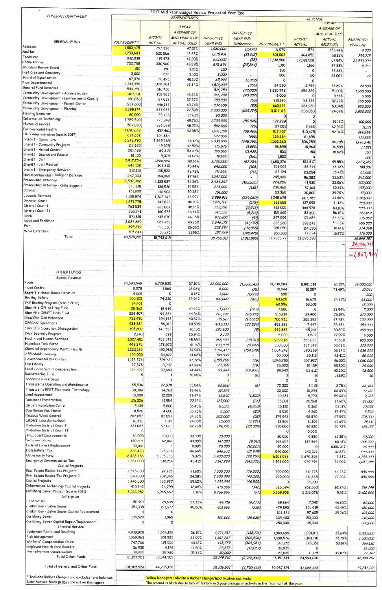| FUND/ACCOUNT NAME                                                                       |                        |                      | 2017 Mid Year Budget Review Projected Year End<br>EXPENDITURES    |                        |                                     |                                                                                                         |                       |                                |                         |
|-----------------------------------------------------------------------------------------|------------------------|----------------------|-------------------------------------------------------------------|------------------------|-------------------------------------|---------------------------------------------------------------------------------------------------------|-----------------------|--------------------------------|-------------------------|
|                                                                                         |                        |                      |                                                                   |                        |                                     |                                                                                                         |                       | REVENUE<br><b>JYEAR</b>        |                         |
|                                                                                         |                        |                      | 3 YEAR<br>AVERAGE OF                                              |                        |                                     |                                                                                                         |                       | <b>AVERAGE OF</b>              |                         |
|                                                                                         |                        | 6/30/17              | MID YEAR % OF                                                     | PROJECTED              | <b>PROJECTED</b><br><b>YEAR END</b> |                                                                                                         | 6/30/17               | MID YEAR % OF<br><b>ACTUAL</b> | PROJECTED               |
| <b>GENERAL FUND</b><br>Assessor                                                         | 2017 BUDGET            | ACTUAL               | <b>ACTUAL USED</b>                                                | <b>YEAR END</b>        | Difference                          | 2017 BUDGET                                                                                             | <b>ACTUAL</b>         | <b>RECEIVED</b>                | <b>YEAR END</b>         |
| Auditor                                                                                 | 1,582,475<br>1,239,643 | 757,336<br>520,056   | 47.01%                                                            | 1,580,000              | (2, 475)                            | 5,075                                                                                                   | 574                   | 156.44%                        | 4,000                   |
| Treasurer                                                                               | 832,038                | 419,473              | 42.68%<br>47.30%                                                  | 1,218,431<br>832,000   | (21, 212)<br>(38)                   | 801,002<br>22,318,500                                                                                   | 464,852<br>12,091,528 | 58.13%                         | 799,715                 |
| Commissioner                                                                            | 702,758                | 330,960              | 48.89%                                                            | 676,894                | (25, 864)                           | 1,010                                                                                                   | 1,166                 | 57.94%<br>27.33%               | 21,900,000<br>4,266     |
| Boundary Review Board<br>Port Crescent Cemetery                                         | 150                    | 150                  | 3.21%                                                             | 150                    |                                     | 150                                                                                                     |                       | 33.33%                         |                         |
| Board of Equalization                                                                   | 3,000<br>67,376        | 272<br>26,495        | 3.10%<br>40,15%                                                   | 3,000<br>65,994        |                                     | 500                                                                                                     | 50                    | 65.00%                         | 77                      |
| Non-Departmental                                                                        | 1,513,356              | 1,128,204            | 52.64%                                                            | 1,513,000              | (1, 382)<br>(356)                   | 24,580                                                                                                  | 11,794                | 36.89%                         | 24,500                  |
| General Fund Reserves                                                                   | 544,750                | 516,750              |                                                                   | 516,750                | (28,000)                            | 1,630,743                                                                                               | 656,329               | 51.00%                         | 1,600,000               |
| Community Development - Administration<br>Community Development - Environmental Quality | 407,101<br>180,856     | 158,903<br>87,062    | 43.32%                                                            | 366,794                | (40, 307)                           | 6,000                                                                                                   |                       | 9.44%                          | 5,000                   |
| Community Development - Permit Center                                                   | 937,680                | 446,132              | 37.27%<br>43.74%                                                  | 180,800<br>937,600     | (56)<br>(80)                        | 213,160<br>663,194                                                                                      | 56,325<br>464,980     | 37.72%                         | 200,000                 |
| <b>Community Development - Planning</b>                                                 | 3,399,174              | 637,037              | 22.59%                                                            | 2,800,000              | (599, 174)                          | 3,017,113                                                                                               | 805,050               | 53.04%<br>24.07%               | 800,000<br>2,800,000    |
| <b>Hearing Examiner</b><br><b>Information Technology</b>                                | 60,000                 | 25,725               | 35.61%                                                            | 60,000                 |                                     |                                                                                                         |                       |                                |                         |
| Human Resources                                                                         | 1,759,540<br>587,020   | 772,949              | 49.76%                                                            | 1,700,000              | (59, 540)                           | 122,289                                                                                                 | $\circ$               | 19.16%                         | 100,000                 |
| Environmental Health                                                                    | 1,090,663              | 286,589<br>437,461   | 48.22%<br>42.38%                                                  | 587,000<br>1,032,198   | (20)<br>(58, 465)                   | 27,501<br>917,457                                                                                       | 7,555                 | 67.93%                         | 11,121                  |
| HHS Administration (new in 2017)                                                        | 627,652                | 304,864              |                                                                   | 627,000                | (652)                               | 155,664                                                                                                 | 410,475<br>61,698     | 52.04%                         | 800,000<br>155,000      |
| Sheriff - Operations<br>Sheriff - Community Projects                                    | 6,278,790              | 2,929,269            | 48.17%                                                            | 6,030,000              | (248, 790)                          | 1,052,260                                                                                               | 506,259               | 46.79%                         | 1,082,040               |
| Sheriff - Animal Control                                                                | 117,670<br>201,439     | 49,325               | 42,50%                                                            | 116,070                | (1,600)                             | 56,895                                                                                                  | 18,963                | 36,59%                         | 51,821                  |
| Sheriff - Search and Rescue                                                             | 18,150                 | 69,319<br>9,074      | 53,07%<br>41.62%                                                  | 190,000<br>18,000      | (11, 439)<br>(150)                  | 500<br>1,500                                                                                            | 150<br>Λ              | 18.82%                         | 797                     |
| Sheriff - Jail                                                                          | 3,817,734              | 1,936,492            | 48.61%                                                            | 3,750,000              | (67, 734)                           | 1,680,276                                                                                               | 812,617               | 49.55%                         | <i>500</i><br>1,639,989 |
| Sheriff - Jail Medical                                                                  | 642,108                | 302,310              | 45.44%                                                            | 642,000                | (108)                               | 159,501                                                                                                 | 86,714                | 46.12%                         | 188,001                 |
| Sheriff - Emergency Services<br>NonDepartmental - Indigent Defense                      | 312,113                | 138,522              | 43.73%                                                            | 312,000                | (113)                               | 116,124                                                                                                 | 23,254                | 35.41%                         | 65,680                  |
| Prosecuting Attorney                                                                    | 1,247,000<br>2,597,082 | 964,060<br>1,128,527 | 67.76%<br>46.36%                                                  | 1,247,000<br>2,434,257 | (162, 825)                          | 245,400<br>224,256                                                                                      | 96,382                | 33.53%                         | 245,000                 |
| Prosecuting Attorney - Child Support                                                    | 273,138                | 136,520              | 45.58%                                                            | 273,000                | (138)                               | 235,462                                                                                                 | 41,930<br>57,164      | 23.06%<br>50.81%               | 200,000<br>235,000      |
| Coroner                                                                                 | 151,800                | 46,904               | 30,28%                                                            | 151,800                |                                     | 53,360                                                                                                  | 30,800                | 39.70%                         | 53,000                  |
| Juvenile Services<br>Superior Court                                                     | 3,138,974              | 1,362,742            | 46.99%                                                            | 2,899,914              | (239,060)                           | 1,248,678                                                                                               | 607,785               | 44.86%                         | 1,240,000               |
| District Court I                                                                        | 1,471,778<br>763,539   | 743,822<br>363,087   | 46.10%<br>48.16%                                                  | 1,471,500<br>753,996   | (278)                               | 281,558                                                                                                 | 127,095               | 41.13%                         | 280,000                 |
| District Court II                                                                       | 350,741                | 160,473              | 46.44%                                                            | 345,528                | (9, 543)<br>(5, 213)                | 813,000<br>155,660                                                                                      | 466,976<br>82,800     | 53.10%<br>56.15%               | 800,000<br>147,469      |
| Clerk                                                                                   | 871,851                | 415,670              | 44.85%                                                            | 871,800                | (51)                                | 347,599                                                                                                 | 171,687               | 54.32%                         | 316,052                 |
| Parks and Facilities<br> Fair                                                           | 2,087,869<br>395,349   | 987,459              | 48.26%                                                            | 2,046,172              | (41, 697)                           | 628,960                                                                                                 | 398,842               | 53.23%                         | 600,000                 |
| <b>WSU Extension</b>                                                                    | 305,844                | 93,350<br>50,276     | 26.05%<br>31,95%                                                  | 358,294<br>157,369     | (37,055)<br>(148, 475)              | 391,050<br>200,300                                                                                      | 114,580<br>17,324     | 30.61%                         | 374,359                 |
| Total                                                                                   | 40,578,201             | 18,743,619           |                                                                   | 38,766,311             | (1, 811, 890)                       | 37,796,277                                                                                              | 18,693,698            | 15.77%                         | 175,000<br>36,898,387   |
|                                                                                         |                        |                      |                                                                   |                        |                                     |                                                                                                         |                       |                                | 38,766,311              |
|                                                                                         |                        |                      |                                                                   |                        |                                     |                                                                                                         |                       |                                | $-1,867,944$            |
|                                                                                         |                        |                      |                                                                   |                        |                                     |                                                                                                         |                       |                                |                         |
|                                                                                         |                        |                      |                                                                   |                        |                                     |                                                                                                         |                       |                                |                         |
| OTHER FUNDS<br><b>Special Revenue</b>                                                   |                        |                      |                                                                   |                        |                                     |                                                                                                         |                       |                                |                         |
| Roads                                                                                   | 23,593,549             | 6,729,830            | 37.10%                                                            | 22,000,000             | (1, 593, 549)                       | 14,730,584                                                                                              | 5,991,591             | 61.13%                         | 14,000,000              |
| Flood Control                                                                           | 8,078                  | 1,860                | 16.08%                                                            | 8,000                  | (78)                                | 10,044                                                                                                  | 10,057                | 73.49%                         | 10,044                  |
| Sheriff's Honor Guard Donation<br><b>Boating Safety</b>                                 | 4,009                  |                      | 0.18%                                                             | 3,000                  | (1,009)                             | 500                                                                                                     |                       | U                              | <i>500</i>              |
| VRF Boating Program (new in 2017)                                                       | 100,102<br>34,401      | 74,220               | 29.96%                                                            | 100,000                | (102)                               | 63,620                                                                                                  | 16,679                | 34,21%                         | 63,000                  |
| Sheriff's Office Drug Fund                                                              | 25,362                 | 18,949               | 40.92%                                                            | 25,000                 | (362)                               | 68,996<br>7,500                                                                                         | 68,501                | 23.94%                         | 68,000<br>7,000         |
| Sheriff's OPNET Drug Fund                                                               | 224,407                | 94,227               | 44.36%                                                            | 212,398                | (12,009)                            | 215,218                                                                                                 | 119,400               | 75.19%                         | 210,000                 |
| Nine-One-One Enhanced                                                                   | 733,485                | 294,143              | 40.87%                                                            | 719,617                | (13, 868)                           | 700,935                                                                                                 | 355,392               | 47.78%                         | 700,000                 |
| <b>OPSCAN Operations</b><br>Sheriff's Operation Stonegarden                             | 433,384                | 58,012               | 40.53%                                                            | <i>400,000</i>         | (33, 384)                           | 493,388                                                                                                 | 7,447                 | 65.33%                         | 350,000                 |
| 24/7 Sobriety Program                                                                   | 395,609<br>2,140       | 143,586<br>699       | 30.15%<br>20.94%                                                  | 395,600<br>2,140       | (9)                                 | 449,886<br>5,000                                                                                        | 145,241<br>4,869      | 30.80%<br>27.92%               | 450,000<br>5,000        |
| <b>Health and Human Services</b>                                                        | 1,027,401              | 453,572              | 45.89%                                                            | 988,390                | (39, 011)                           | 929,645                                                                                                 | 588,028               | 71.53%                         | 900,000                 |
| Homeless Task Force                                                                     | 443,275                | 178,572              | 41.16%                                                            | 433,828                | (9, 447)                            | 320,000                                                                                                 | 187,347               | 58.02%                         | 320,000                 |
| Chemical Dependency Mental Health<br>Affordable Housing                                 | 1,323,129              | 450,983              | 37.01%                                                            | 1,218,451              | (104, 678)                          | 1,034,948                                                                                               | 570,869               | 53.64%                         | 1,035,000               |
| Developmental Disabilities                                                              | 140,000<br>1,195,276   | 34,627<br>591,731    | 21.62%<br>37.72%                                                  | 140,000<br>1,195,200   | (76)                                | 60,000<br>1,045,785                                                                                     | 35,112<br>507,927     | 48.41%<br>46.00%               | 60,000<br>1,050,000     |
| Law Library                                                                             | 27,378                 | 13,297               | 43.04%                                                            | 27,300                 | (78)                                | 25,000                                                                                                  | 15,159                | 55.80%                         | 25,000                  |
| Local Crime Victim Compensation<br>Racketeering Fund                                    | 124,497                | 39,640               | 41.44%                                                            | 95,665                 | (28, 832)                           | 98,543                                                                                                  | 52,612                | 40.20%                         | 98,500                  |
| Shoreline Block Grant                                                                   |                        |                      | 20,00%                                                            | 5                      | $\left( 0 \right)$                  |                                                                                                         |                       | 51.89%                         | 10                      |
| Treasurer's Operation and Maintenance                                                   | 85,806                 | 22,978               | 25.04%                                                            | 85,800                 | (6)                                 | 72,300                                                                                                  | 2,513                 | 3.78%                          | 66,464                  |
| Treasurer's REET Electronic Technology                                                  | 39,394                 | 14,763               | 18.46%                                                            | 39,394                 |                                     | 20,000                                                                                                  | 10,294                | 60.09%                         | 17,132                  |
| Land Assessment                                                                         | 15,000                 | 12,209               | 89.47%                                                            | 13,645                 | (1, 355)                            | 10,681                                                                                                  | 5,773                 | 59.00%                         | 9,785                   |
| Document Preservation<br>Dispute Resolution Center                                      | 125,026                | 31,954               | 22.15%                                                            | 125,000                | (26)                                | 88,001                                                                                                  | 20,568                | 17.60%                         | 88,000                  |
| Courthouse Facilitator                                                                  | 15,135<br>8,520        | 5,800<br>4,600       | 56.45%<br>35.26%                                                  | 10,275<br>8,500        | (4, 860)<br>(20,                    | 15,135<br>8,520                                                                                         | 5,360<br>4,260        | 53.11%<br>37.47%               | 10,093<br>8,520         |
| Noxious Weed Control                                                                    | 202,052                | 82,097               | 34.36%                                                            | 202,000                | (52)                                | 179,943                                                                                                 | 98,870                | 67.59%                         | 179,000                 |
| LMD#2 Lake Sutherland                                                                   | 16,336                 | 1,118                | 24.00%                                                            | 15,000                 | (1, 336)                            | 18,809                                                                                                  | 11,109                | 59.69%                         | 18,611                  |
| Probation District Court I<br>Probation District Court II                               | 224,085                | 93,062               | 47.78%                                                            | 194,776                | (29, 309)                           | 220,000                                                                                                 | 90,880<br>0.00%       | 50,73%                         | 179,155                 |
| Trial Court Improvements                                                                | 30,000                 | 30,000               | 100.00%                                                           | 30,000                 |                                     | 30,000                                                                                                  | 9,380                 | 61.38%                         | 30,000                  |
| Veterans' Relief                                                                        | 150,604                | 62,061               | 43.99%                                                            | 141,093                | (9, 511)                            | 168,654                                                                                                 | 134,864               | 63,41%                         | 168,000                 |
| Federal Forest Replacement<br>Hotel/Motel Tax                                           | 30,001<br>866,420      |                      | 0.99%                                                             | 20,000                 | (10,001)                            | 30,000                                                                                                  |                       | 6380.31%                       | <i>20,000</i>           |
| Opportunity Fund                                                                        | 6,428,756              | 395,964<br>5,295,233 | 46.66%<br>5.37%                                                   | 848,571<br>6,400,000   | (17, 849)<br>(28, 756)              | 540,000<br>6,103,032                                                                                    | 243,371<br>5,670,298  | 31.82%<br>7.23%                | 600,000<br>6,100,000    |
| Emergency Communication Tax                                                             | 1,284,000              | 518,214              | 45.41%                                                            | 1,141,284              | (142, 716)                          | 1,202,000                                                                                               | 570,796               | 52.50%                         | 1,087,158               |
| Capital Projects<br>Real Estate Excise Tax Projects                                     |                        |                      |                                                                   |                        |                                     |                                                                                                         |                       |                                |                         |
| Real Estate Excise Tax Projects 2                                                       | 1,575,000<br>2,640,000 | 92,276<br>207,045    | 21,60%<br>34.38%                                                  | 1,500,000<br>2,600,000 | (75,000)<br>(40,000)                | 700,000<br>700,000                                                                                      | 411,728<br>411,665    | 64.28%<br>77,90%               | 850,000<br>850,000      |
| Capital Projects                                                                        | 1,446,500              | 133,927              | 39.62%                                                            | 1,400,000              | (46, 500)                           |                                                                                                         | 38,200                |                                |                         |
| Information Technology Capital Projects                                                 | 410,342                | 124,799              | 12.08%                                                            | 410,000                | (342)                               | 325,594                                                                                                 | 262,550               | 82,24%                         | 319,249                 |
| Carlsborg Sewer Project (new in 2011)<br>Enterprise                                     | 8,266,957              | 6,945,667            | 7.36%                                                             | 8,266,900              | (57)                                | 5,359,908                                                                                               | 5,216,078             | 5.52%                          | 5,400,000               |
| Solid Waste                                                                             | 50,991                 | 25,635               | 57.33%                                                            | 44,718                 | (6, 273)                            | 69,864                                                                                                  | 7,042                 | 46.60%                         | <i>69,000</i>           |
| Clallam Bay - Sekiu Sewer                                                               | 451,338                | 191,477              | 40.26%                                                            | 451,000                | (338)                               | 479,890                                                                                                 | 365,019               | 42.49%                         | 480,000                 |
| Clallam Bay - Sekiu Sewer Capital Replacement                                           |                        |                      |                                                                   |                        |                                     | 103,881                                                                                                 | 97,629                | $-29.26%$                      | 103,000                 |
| Carlsborg Sewer<br>Carlsborg Sewer Capital Repair/Replacement                           | 135,520                | 1,065                |                                                                   | <i>100,000</i>         | (35, 520)                           | 339,400<br>250,000                                                                                      | 150,000<br>35,000     |                                | 340,000                 |
| <b>Internal Service</b>                                                                 |                        |                      |                                                                   |                        |                                     |                                                                                                         |                       |                                | 200,000                 |
| Equipment Rental and Revolving                                                          | 4,409,928              | 1,544,129            | 36.15%                                                            | 4,271,757              | (138, 171)                          | 3,989,699                                                                                               | 1,091,811             | 35.64%                         | 3,900,000               |
| Risk Management<br>Workers' Compensation Claims                                         | 1,569,863              | 301,993              | 22.09%                                                            | 1,367,267              | (202, 596)                          | 1,498,576                                                                                               | 1,164,110             | 75.79%                         | <i>1,500,000</i>        |
| Employee Health Care Benefit                                                            | 747,766<br>36,925      | 191,556<br>4,176     | 43.16%<br>17.50%                                                  | 443,779<br>23,858      | (303, 987)                          | 348,172                                                                                                 | 178,051               | 50.14%                         | 355,130                 |
| Unemployment Compensation                                                               | 30,000                 | 29,760               | 31,88%                                                            | 30,000                 | (13,067)                            | 36,925<br>23,035                                                                                        | 11,175                | 49.87%                         | 36,000<br>22,410        |
| Total Other Funds                                                                       | 61,127,753             | 25,541,509           |                                                                   | 58,149,210             | (2, 978, 543)                       | 43,191,614                                                                                              | 24,994,630            |                                | 42,358,761              |
| Total of General and Other Funds                                                        | 101,705,954            | 44,285,128           |                                                                   | 96,915,521             | (4, 790, 433)                       | 80,987,891                                                                                              | 43,688,328            |                                | 79,257,148              |
| $^\star$ Includes Budget Changes and excludes fund balances                             |                        |                      |                                                                   |                        |                                     |                                                                                                         |                       |                                |                         |
| Debt Service funds (RIDs) are not on this report                                        |                        |                      | Vellow highlights indicate a Budget Change/Modification was made. |                        |                                     | The amount is blank due to lack of history in 3 year average or activity in the first half of the year. |                       |                                |                         |

 $\langle \hat{q} \rangle$